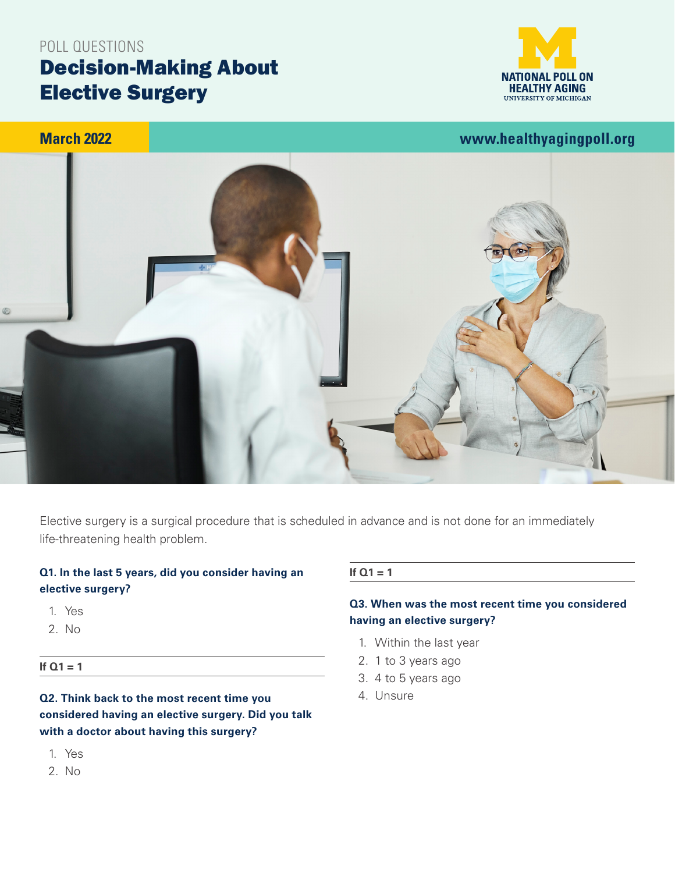# Decision-Making About Elective Surgery POLL QUESTIONS



## **March 2022**

**[www.healthyagingpoll.org](https://www.healthyagingpoll.org/)**



Elective surgery is a surgical procedure that is scheduled in advance and is not done for an immediately life-threatening health problem.

## **Q1. In the last 5 years, did you consider having an elective surgery?**

- 1. Yes
- 2. No
- **If Q1 = 1**

## **Q2. Think back to the most recent time you considered having an elective surgery. Did you talk with a doctor about having this surgery?**

- 1. Yes
- 2. No

#### **If Q1 = 1**

## **Q3. When was the most recent time you considered having an elective surgery?**

- 1. Within the last year
- 2. 1 to 3 years ago
- 3. 4 to 5 years ago
- 4. Unsure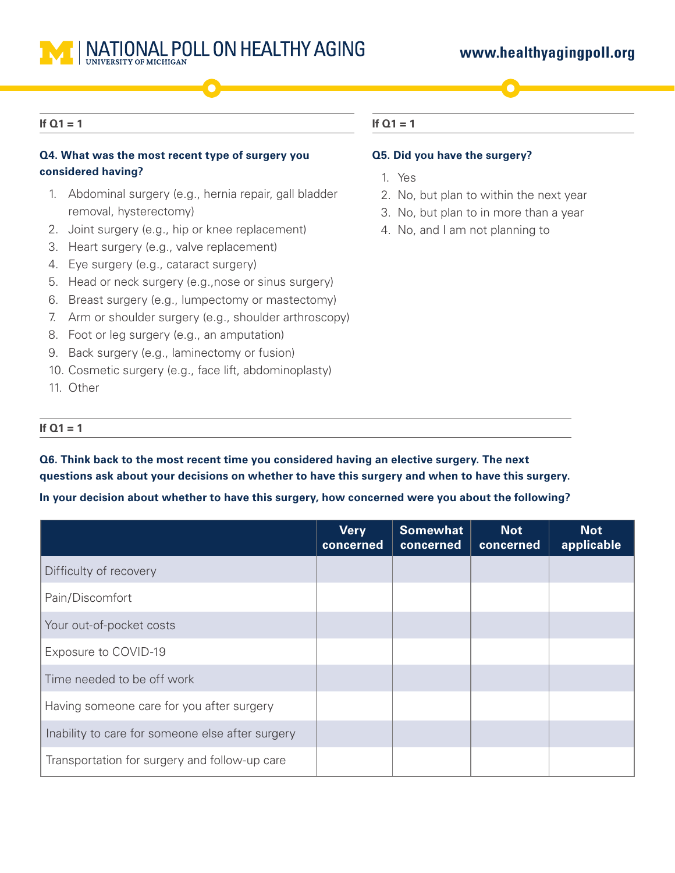

## **[www.healthyagingpoll.org](https://www.healthyagingpoll.org/)**

#### **If Q1 = 1**

## **Q4. What was the most recent type of surgery you considered having?**

- 1. Abdominal surgery (e.g., hernia repair, gall bladder removal, hysterectomy)
- 2. Joint surgery (e.g., hip or knee replacement)
- 3. Heart surgery (e.g., valve replacement)
- 4. Eye surgery (e.g., cataract surgery)
- 5. Head or neck surgery (e.g.,nose or sinus surgery)
- 6. Breast surgery (e.g., lumpectomy or mastectomy)
- 7. Arm or shoulder surgery (e.g., shoulder arthroscopy)
- 8. Foot or leg surgery (e.g., an amputation)
- 9. Back surgery (e.g., laminectomy or fusion)
- 10. Cosmetic surgery (e.g., face lift, abdominoplasty)
- 11. Other

## **If Q1 = 1**

#### **Q5. Did you have the surgery?**

- 1. Yes
- 2. No, but plan to within the next year
- 3. No, but plan to in more than a year
- 4. No, and I am not planning to

#### **If Q1 = 1**

**Q6. Think back to the most recent time you considered having an elective surgery. The next questions ask about your decisions on whether to have this surgery and when to have this surgery.**

#### **In your decision about whether to have this surgery, how concerned were you about the following?**

|                                                  | <b>Very</b><br>concerned | <b>Somewhat</b><br>concerned | <b>Not</b><br>concerned | <b>Not</b><br>applicable |
|--------------------------------------------------|--------------------------|------------------------------|-------------------------|--------------------------|
| Difficulty of recovery                           |                          |                              |                         |                          |
| Pain/Discomfort                                  |                          |                              |                         |                          |
| Your out-of-pocket costs                         |                          |                              |                         |                          |
| Exposure to COVID-19                             |                          |                              |                         |                          |
| Time needed to be off work                       |                          |                              |                         |                          |
| Having someone care for you after surgery        |                          |                              |                         |                          |
| Inability to care for someone else after surgery |                          |                              |                         |                          |
| Transportation for surgery and follow-up care    |                          |                              |                         |                          |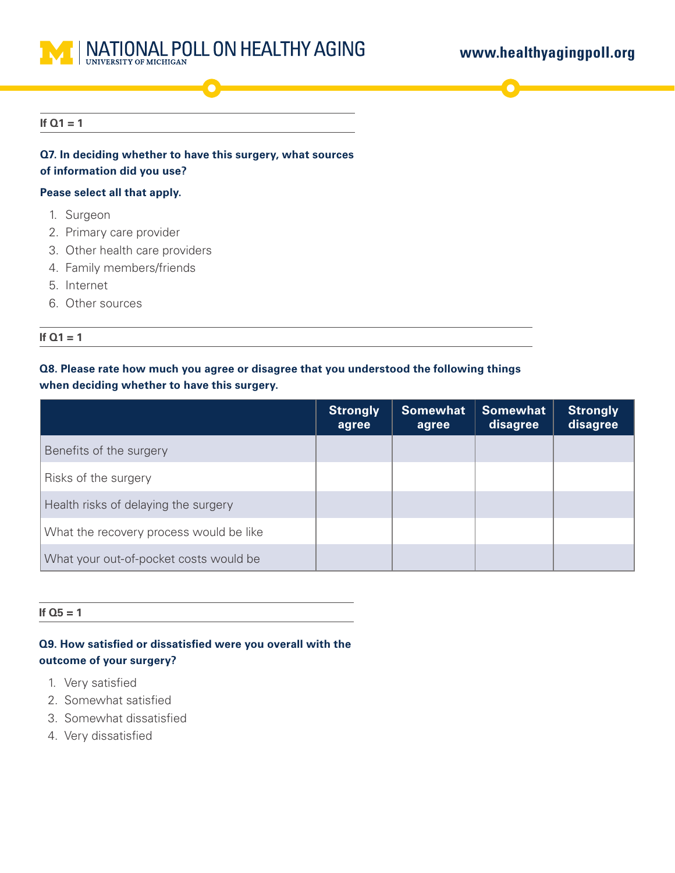

#### **If Q1 = 1**

## **Q7. In deciding whether to have this surgery, what sources of information did you use?**

#### **Pease select all that apply.**

- 1. Surgeon
- 2. Primary care provider
- 3. Other health care providers
- 4. Family members/friends
- 5. Internet
- 6. Other sources

#### **If Q1 = 1**

## **Q8. Please rate how much you agree or disagree that you understood the following things when deciding whether to have this surgery.**

|                                         | <b>Strongly</b><br>agree | <b>Somewhat</b><br>agree | <b>Somewhat</b><br>disagree | <b>Strongly</b><br>disagree |
|-----------------------------------------|--------------------------|--------------------------|-----------------------------|-----------------------------|
| Benefits of the surgery                 |                          |                          |                             |                             |
| Risks of the surgery                    |                          |                          |                             |                             |
| Health risks of delaying the surgery    |                          |                          |                             |                             |
| What the recovery process would be like |                          |                          |                             |                             |
| What your out-of-pocket costs would be  |                          |                          |                             |                             |

#### **If Q5 = 1**

**Q9. How satisfied or dissatisfied were you overall with the outcome of your surgery?** 

- 1. Very satisfied
- 2. Somewhat satisfied
- 3. Somewhat dissatisfied
- 4. Very dissatisfied